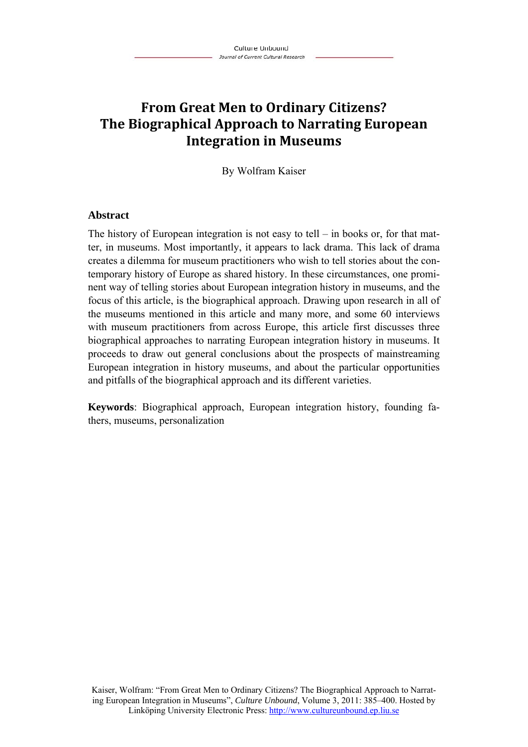# **From Great Men to Ordinary Citizens? The Biographical Approach to Narrating European Integration in Museums**

By Wolfram Kaiser

#### **Abstract**

The history of European integration is not easy to tell – in books or, for that matter, in museums. Most importantly, it appears to lack drama. This lack of drama creates a dilemma for museum practitioners who wish to tell stories about the contemporary history of Europe as shared history. In these circumstances, one prominent way of telling stories about European integration history in museums, and the focus of this article, is the biographical approach. Drawing upon research in all of the museums mentioned in this article and many more, and some 60 interviews with museum practitioners from across Europe, this article first discusses three biographical approaches to narrating European integration history in museums. It proceeds to draw out general conclusions about the prospects of mainstreaming European integration in history museums, and about the particular opportunities and pitfalls of the biographical approach and its different varieties.

**Keywords**: Biographical approach, European integration history, founding fathers, museums, personalization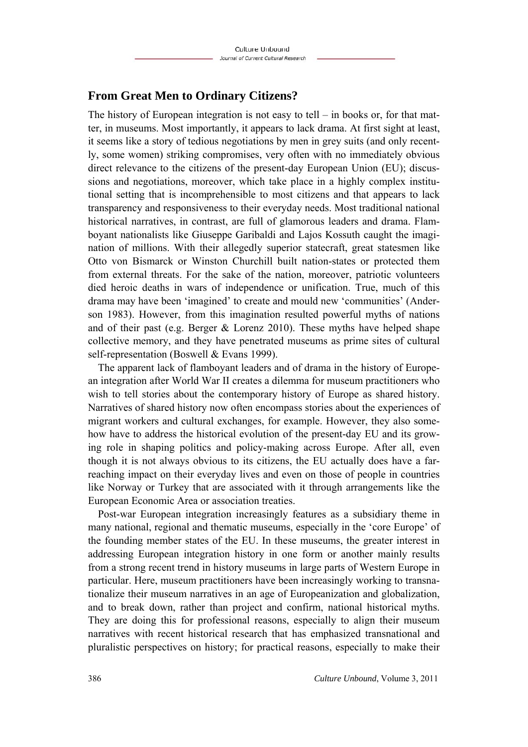## **From Great Men to Ordinary Citizens?**

The history of European integration is not easy to tell  $-$  in books or, for that matter, in museums. Most importantly, it appears to lack drama. At first sight at least, it seems like a story of tedious negotiations by men in grey suits (and only recently, some women) striking compromises, very often with no immediately obvious direct relevance to the citizens of the present-day European Union (EU); discussions and negotiations, moreover, which take place in a highly complex institutional setting that is incomprehensible to most citizens and that appears to lack transparency and responsiveness to their everyday needs. Most traditional national historical narratives, in contrast, are full of glamorous leaders and drama. Flamboyant nationalists like Giuseppe Garibaldi and Lajos Kossuth caught the imagination of millions. With their allegedly superior statecraft, great statesmen like Otto von Bismarck or Winston Churchill built nation-states or protected them from external threats. For the sake of the nation, moreover, patriotic volunteers died heroic deaths in wars of independence or unification. True, much of this drama may have been 'imagined' to create and mould new 'communities' (Anderson 1983). However, from this imagination resulted powerful myths of nations and of their past (e.g. Berger  $&$  Lorenz 2010). These myths have helped shape collective memory, and they have penetrated museums as prime sites of cultural self-representation (Boswell & Evans 1999).

The apparent lack of flamboyant leaders and of drama in the history of European integration after World War II creates a dilemma for museum practitioners who wish to tell stories about the contemporary history of Europe as shared history. Narratives of shared history now often encompass stories about the experiences of migrant workers and cultural exchanges, for example. However, they also somehow have to address the historical evolution of the present-day EU and its growing role in shaping politics and policy-making across Europe. After all, even though it is not always obvious to its citizens, the EU actually does have a farreaching impact on their everyday lives and even on those of people in countries like Norway or Turkey that are associated with it through arrangements like the European Economic Area or association treaties.

Post-war European integration increasingly features as a subsidiary theme in many national, regional and thematic museums, especially in the 'core Europe' of the founding member states of the EU. In these museums, the greater interest in addressing European integration history in one form or another mainly results from a strong recent trend in history museums in large parts of Western Europe in particular. Here, museum practitioners have been increasingly working to transnationalize their museum narratives in an age of Europeanization and globalization, and to break down, rather than project and confirm, national historical myths. They are doing this for professional reasons, especially to align their museum narratives with recent historical research that has emphasized transnational and pluralistic perspectives on history; for practical reasons, especially to make their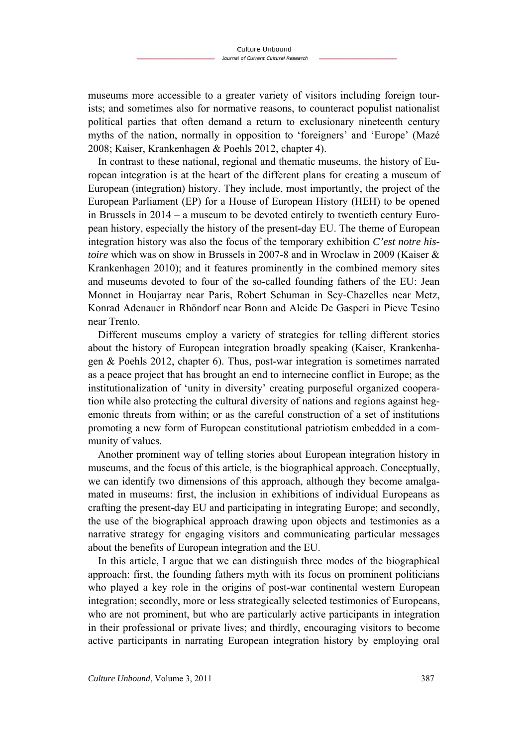museums more accessible to a greater variety of visitors including foreign tourists; and sometimes also for normative reasons, to counteract populist nationalist political parties that often demand a return to exclusionary nineteenth century myths of the nation, normally in opposition to 'foreigners' and 'Europe' (Mazé 2008; Kaiser, Krankenhagen & Poehls 2012, chapter 4).

In contrast to these national, regional and thematic museums, the history of European integration is at the heart of the different plans for creating a museum of European (integration) history. They include, most importantly, the project of the European Parliament (EP) for a House of European History (HEH) to be opened in Brussels in 2014 – a museum to be devoted entirely to twentieth century European history, especially the history of the present-day EU. The theme of European integration history was also the focus of the temporary exhibition *C'est notre histoire* which was on show in Brussels in 2007-8 and in Wroclaw in 2009 (Kaiser & Krankenhagen 2010); and it features prominently in the combined memory sites and museums devoted to four of the so-called founding fathers of the EU: Jean Monnet in Houjarray near Paris, Robert Schuman in Scy-Chazelles near Metz, Konrad Adenauer in Rhöndorf near Bonn and Alcide De Gasperi in Pieve Tesino near Trento.

Different museums employ a variety of strategies for telling different stories about the history of European integration broadly speaking (Kaiser, Krankenhagen & Poehls 2012, chapter 6). Thus, post-war integration is sometimes narrated as a peace project that has brought an end to internecine conflict in Europe; as the institutionalization of 'unity in diversity' creating purposeful organized cooperation while also protecting the cultural diversity of nations and regions against hegemonic threats from within; or as the careful construction of a set of institutions promoting a new form of European constitutional patriotism embedded in a community of values.

Another prominent way of telling stories about European integration history in museums, and the focus of this article, is the biographical approach. Conceptually, we can identify two dimensions of this approach, although they become amalgamated in museums: first, the inclusion in exhibitions of individual Europeans as crafting the present-day EU and participating in integrating Europe; and secondly, the use of the biographical approach drawing upon objects and testimonies as a narrative strategy for engaging visitors and communicating particular messages about the benefits of European integration and the EU.

In this article, I argue that we can distinguish three modes of the biographical approach: first, the founding fathers myth with its focus on prominent politicians who played a key role in the origins of post-war continental western European integration; secondly, more or less strategically selected testimonies of Europeans, who are not prominent, but who are particularly active participants in integration in their professional or private lives; and thirdly, encouraging visitors to become active participants in narrating European integration history by employing oral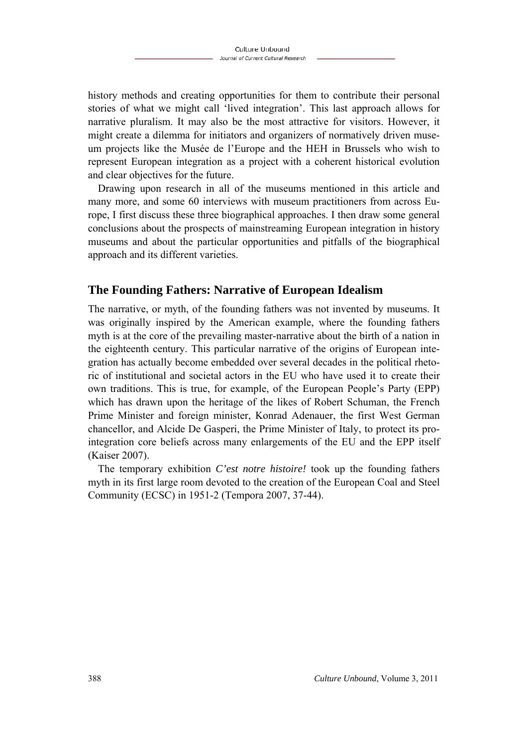history methods and creating opportunities for them to contribute their personal stories of what we might call 'lived integration'. This last approach allows for narrative pluralism. It may also be the most attractive for visitors. However, it might create a dilemma for initiators and organizers of normatively driven museum projects like the Musée de l'Europe and the HEH in Brussels who wish to represent European integration as a project with a coherent historical evolution and clear objectives for the future.

Drawing upon research in all of the museums mentioned in this article and many more, and some 60 interviews with museum practitioners from across Europe, I first discuss these three biographical approaches. I then draw some general conclusions about the prospects of mainstreaming European integration in history museums and about the particular opportunities and pitfalls of the biographical approach and its different varieties.

## **The Founding Fathers: Narrative of European Idealism**

The narrative, or myth, of the founding fathers was not invented by museums. It was originally inspired by the American example, where the founding fathers myth is at the core of the prevailing master-narrative about the birth of a nation in the eighteenth century. This particular narrative of the origins of European integration has actually become embedded over several decades in the political rhetoric of institutional and societal actors in the EU who have used it to create their own traditions. This is true, for example, of the European People's Party (EPP) which has drawn upon the heritage of the likes of Robert Schuman, the French Prime Minister and foreign minister, Konrad Adenauer, the first West German chancellor, and Alcide De Gasperi, the Prime Minister of Italy, to protect its prointegration core beliefs across many enlargements of the EU and the EPP itself (Kaiser 2007).

The temporary exhibition *C'est notre histoire!* took up the founding fathers myth in its first large room devoted to the creation of the European Coal and Steel Community (ECSC) in 1951-2 (Tempora 2007, 37-44).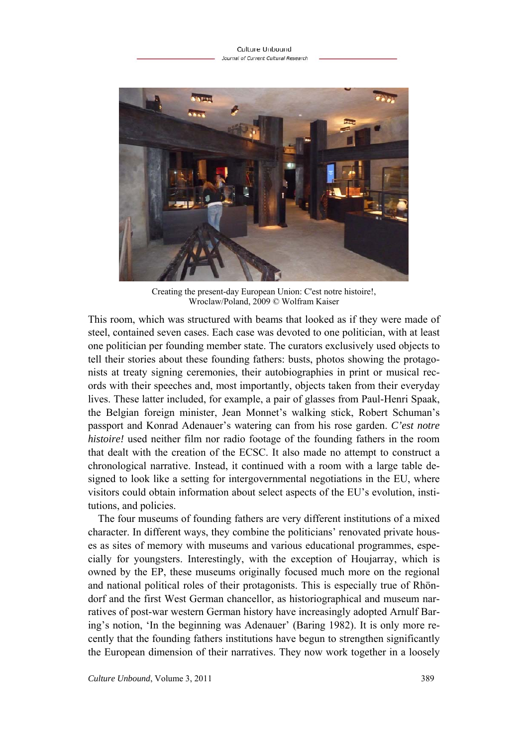

Creating the present-day European Union: C'est notre histoire!, Wroclaw/Poland, 2009 © Wolfram Kaiser

This room, which was structured with beams that looked as if they were made of steel, contained seven cases. Each case was devoted to one politician, with at least one politician per founding member state. The curators exclusively used objects to tell their stories about these founding fathers: busts, photos showing the protagonists at treaty signing ceremonies, their autobiographies in print or musical records with their speeches and, most importantly, objects taken from their everyday lives. These latter included, for example, a pair of glasses from Paul-Henri Spaak, the Belgian foreign minister, Jean Monnet's walking stick, Robert Schuman's passport and Konrad Adenauer's watering can from his rose garden. *C'est notre histoire!* used neither film nor radio footage of the founding fathers in the room that dealt with the creation of the ECSC. It also made no attempt to construct a chronological narrative. Instead, it continued with a room with a large table designed to look like a setting for intergovernmental negotiations in the EU, where visitors could obtain information about select aspects of the EU's evolution, institutions, and policies.

The four museums of founding fathers are very different institutions of a mixed character. In different ways, they combine the politicians' renovated private houses as sites of memory with museums and various educational programmes, especially for youngsters. Interestingly, with the exception of Houjarray, which is owned by the EP, these museums originally focused much more on the regional and national political roles of their protagonists. This is especially true of Rhöndorf and the first West German chancellor, as historiographical and museum narratives of post-war western German history have increasingly adopted Arnulf Baring's notion, 'In the beginning was Adenauer' (Baring 1982). It is only more recently that the founding fathers institutions have begun to strengthen significantly the European dimension of their narratives. They now work together in a loosely

*Culture Unbound*, Volume 3, 2011 389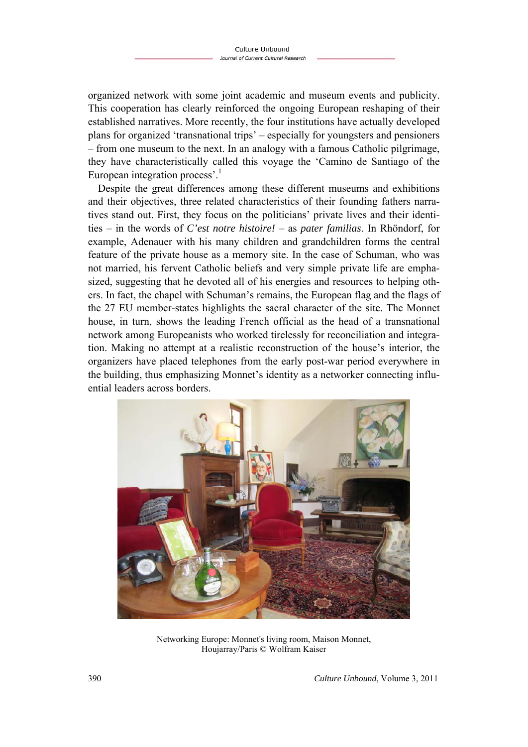organized network with some joint academic and museum events and publicity. This cooperation has clearly reinforced the ongoing European reshaping of their established narratives. More recently, the four institutions have actually developed plans for organized 'transnational trips' – especially for youngsters and pensioners – from one museum to the next. In an analogy with a famous Catholic pilgrimage, they have characteristically called this voyage the 'Camino de Santiago of the European integration process'.<sup>1</sup>

Despite the great differences among these different museums and exhibitions and their objectives, three related characteristics of their founding fathers narratives stand out. First, they focus on the politicians' private lives and their identities – in the words of *C'est notre histoire!* – as *pater familias*. In Rhöndorf, for example, Adenauer with his many children and grandchildren forms the central feature of the private house as a memory site. In the case of Schuman, who was not married, his fervent Catholic beliefs and very simple private life are emphasized, suggesting that he devoted all of his energies and resources to helping others. In fact, the chapel with Schuman's remains, the European flag and the flags of the 27 EU member-states highlights the sacral character of the site. The Monnet house, in turn, shows the leading French official as the head of a transnational network among Europeanists who worked tirelessly for reconciliation and integration. Making no attempt at a realistic reconstruction of the house's interior, the organizers have placed telephones from the early post-war period everywhere in the building, thus emphasizing Monnet's identity as a networker connecting influential leaders across borders.



Networking Europe: Monnet's living room, Maison Monnet, Houjarray/Paris © Wolfram Kaiser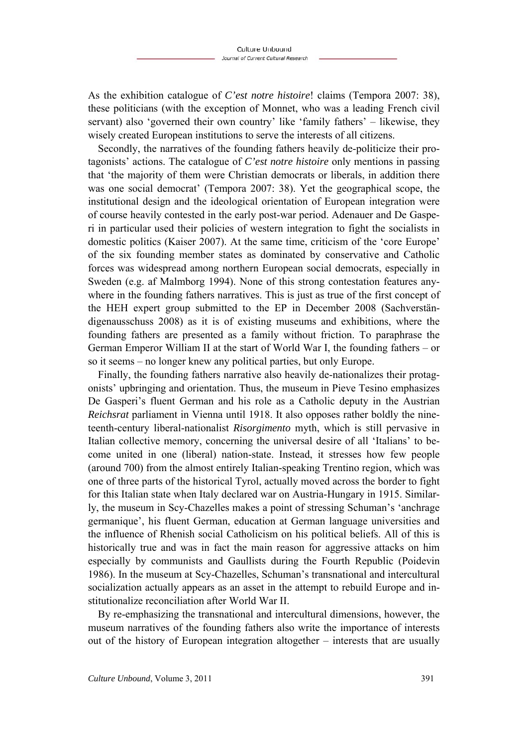As the exhibition catalogue of *C'est notre histoire*! claims (Tempora 2007: 38), these politicians (with the exception of Monnet, who was a leading French civil servant) also 'governed their own country' like 'family fathers' – likewise, they wisely created European institutions to serve the interests of all citizens.

Secondly, the narratives of the founding fathers heavily de-politicize their protagonists' actions. The catalogue of *C'est notre histoire* only mentions in passing that 'the majority of them were Christian democrats or liberals, in addition there was one social democrat' (Tempora 2007: 38). Yet the geographical scope, the institutional design and the ideological orientation of European integration were of course heavily contested in the early post-war period. Adenauer and De Gasperi in particular used their policies of western integration to fight the socialists in domestic politics (Kaiser 2007). At the same time, criticism of the 'core Europe' of the six founding member states as dominated by conservative and Catholic forces was widespread among northern European social democrats, especially in Sweden (e.g. af Malmborg 1994). None of this strong contestation features anywhere in the founding fathers narratives. This is just as true of the first concept of the HEH expert group submitted to the EP in December 2008 (Sachverständigenausschuss 2008) as it is of existing museums and exhibitions, where the founding fathers are presented as a family without friction. To paraphrase the German Emperor William II at the start of World War I, the founding fathers – or so it seems – no longer knew any political parties, but only Europe.

Finally, the founding fathers narrative also heavily de-nationalizes their protagonists' upbringing and orientation. Thus, the museum in Pieve Tesino emphasizes De Gasperi's fluent German and his role as a Catholic deputy in the Austrian *Reichsrat* parliament in Vienna until 1918. It also opposes rather boldly the nineteenth-century liberal-nationalist *Risorgimento* myth, which is still pervasive in Italian collective memory, concerning the universal desire of all 'Italians' to become united in one (liberal) nation-state. Instead, it stresses how few people (around 700) from the almost entirely Italian-speaking Trentino region, which was one of three parts of the historical Tyrol, actually moved across the border to fight for this Italian state when Italy declared war on Austria-Hungary in 1915. Similarly, the museum in Scy-Chazelles makes a point of stressing Schuman's 'anchrage germanique', his fluent German, education at German language universities and the influence of Rhenish social Catholicism on his political beliefs. All of this is historically true and was in fact the main reason for aggressive attacks on him especially by communists and Gaullists during the Fourth Republic (Poidevin 1986). In the museum at Scy-Chazelles, Schuman's transnational and intercultural socialization actually appears as an asset in the attempt to rebuild Europe and institutionalize reconciliation after World War II.

By re-emphasizing the transnational and intercultural dimensions, however, the museum narratives of the founding fathers also write the importance of interests out of the history of European integration altogether – interests that are usually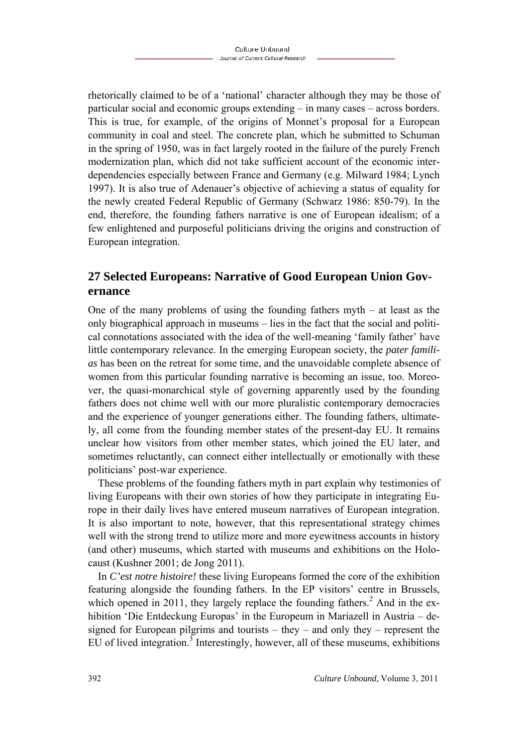rhetorically claimed to be of a 'national' character although they may be those of particular social and economic groups extending – in many cases – across borders. This is true, for example, of the origins of Monnet's proposal for a European community in coal and steel. The concrete plan, which he submitted to Schuman in the spring of 1950, was in fact largely rooted in the failure of the purely French modernization plan, which did not take sufficient account of the economic interdependencies especially between France and Germany (e.g. Milward 1984; Lynch 1997). It is also true of Adenauer's objective of achieving a status of equality for the newly created Federal Republic of Germany (Schwarz 1986: 850-79). In the end, therefore, the founding fathers narrative is one of European idealism; of a few enlightened and purposeful politicians driving the origins and construction of European integration.

## **27 Selected Europeans: Narrative of Good European Union Governance**

One of the many problems of using the founding fathers myth  $-$  at least as the only biographical approach in museums – lies in the fact that the social and political connotations associated with the idea of the well-meaning 'family father' have little contemporary relevance. In the emerging European society, the *pater familias* has been on the retreat for some time, and the unavoidable complete absence of women from this particular founding narrative is becoming an issue, too. Moreover, the quasi-monarchical style of governing apparently used by the founding fathers does not chime well with our more pluralistic contemporary democracies and the experience of younger generations either. The founding fathers, ultimately, all come from the founding member states of the present-day EU. It remains unclear how visitors from other member states, which joined the EU later, and sometimes reluctantly, can connect either intellectually or emotionally with these politicians' post-war experience.

These problems of the founding fathers myth in part explain why testimonies of living Europeans with their own stories of how they participate in integrating Europe in their daily lives have entered museum narratives of European integration. It is also important to note, however, that this representational strategy chimes well with the strong trend to utilize more and more eyewitness accounts in history (and other) museums, which started with museums and exhibitions on the Holocaust (Kushner 2001; de Jong 2011).

In *C'est notre histoire!* these living Europeans formed the core of the exhibition featuring alongside the founding fathers. In the EP visitors' centre in Brussels, which opened in 2011, they largely replace the founding fathers.<sup>2</sup> And in the exhibition 'Die Entdeckung Europas' in the Europeum in Mariazell in Austria – designed for European pilgrims and tourists – they – and only they – represent the EU of lived integration.<sup>3</sup> Interestingly, however, all of these museums, exhibitions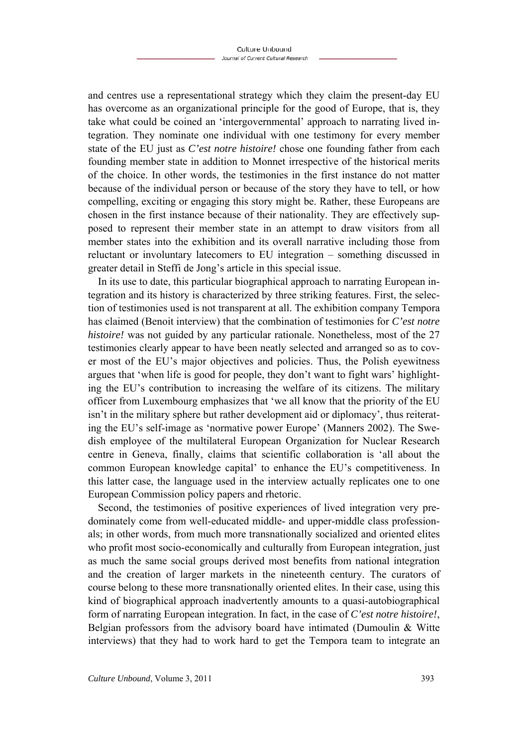and centres use a representational strategy which they claim the present-day EU has overcome as an organizational principle for the good of Europe, that is, they take what could be coined an 'intergovernmental' approach to narrating lived integration. They nominate one individual with one testimony for every member state of the EU just as *C'est notre histoire!* chose one founding father from each founding member state in addition to Monnet irrespective of the historical merits of the choice. In other words, the testimonies in the first instance do not matter because of the individual person or because of the story they have to tell, or how compelling, exciting or engaging this story might be. Rather, these Europeans are chosen in the first instance because of their nationality. They are effectively supposed to represent their member state in an attempt to draw visitors from all member states into the exhibition and its overall narrative including those from reluctant or involuntary latecomers to EU integration – something discussed in greater detail in Steffi de Jong's article in this special issue.

In its use to date, this particular biographical approach to narrating European integration and its history is characterized by three striking features. First, the selection of testimonies used is not transparent at all. The exhibition company Tempora has claimed (Benoit interview) that the combination of testimonies for *C'est notre histoire!* was not guided by any particular rationale. Nonetheless, most of the 27 testimonies clearly appear to have been neatly selected and arranged so as to cover most of the EU's major objectives and policies. Thus, the Polish eyewitness argues that 'when life is good for people, they don't want to fight wars' highlighting the EU's contribution to increasing the welfare of its citizens. The military officer from Luxembourg emphasizes that 'we all know that the priority of the EU isn't in the military sphere but rather development aid or diplomacy', thus reiterating the EU's self-image as 'normative power Europe' (Manners 2002). The Swedish employee of the multilateral European Organization for Nuclear Research centre in Geneva, finally, claims that scientific collaboration is 'all about the common European knowledge capital' to enhance the EU's competitiveness. In this latter case, the language used in the interview actually replicates one to one European Commission policy papers and rhetoric.

Second, the testimonies of positive experiences of lived integration very predominately come from well-educated middle- and upper-middle class professionals; in other words, from much more transnationally socialized and oriented elites who profit most socio-economically and culturally from European integration, just as much the same social groups derived most benefits from national integration and the creation of larger markets in the nineteenth century. The curators of course belong to these more transnationally oriented elites. In their case, using this kind of biographical approach inadvertently amounts to a quasi-autobiographical form of narrating European integration. In fact, in the case of *C'est notre histoire!*, Belgian professors from the advisory board have intimated (Dumoulin & Witte interviews) that they had to work hard to get the Tempora team to integrate an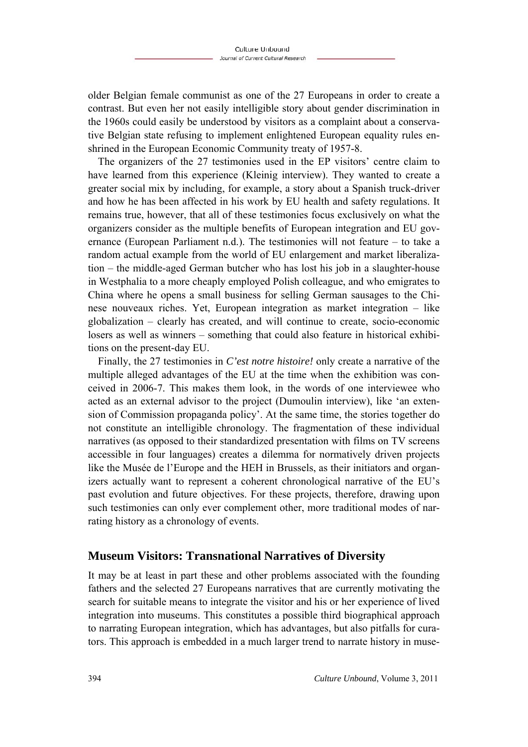older Belgian female communist as one of the 27 Europeans in order to create a contrast. But even her not easily intelligible story about gender discrimination in the 1960s could easily be understood by visitors as a complaint about a conservative Belgian state refusing to implement enlightened European equality rules enshrined in the European Economic Community treaty of 1957-8.

The organizers of the 27 testimonies used in the EP visitors' centre claim to have learned from this experience (Kleinig interview). They wanted to create a greater social mix by including, for example, a story about a Spanish truck-driver and how he has been affected in his work by EU health and safety regulations. It remains true, however, that all of these testimonies focus exclusively on what the organizers consider as the multiple benefits of European integration and EU governance (European Parliament n.d.). The testimonies will not feature – to take a random actual example from the world of EU enlargement and market liberalization – the middle-aged German butcher who has lost his job in a slaughter-house in Westphalia to a more cheaply employed Polish colleague, and who emigrates to China where he opens a small business for selling German sausages to the Chinese nouveaux riches. Yet, European integration as market integration – like globalization – clearly has created, and will continue to create, socio-economic losers as well as winners – something that could also feature in historical exhibitions on the present-day EU.

Finally, the 27 testimonies in *C'est notre histoire!* only create a narrative of the multiple alleged advantages of the EU at the time when the exhibition was conceived in 2006-7. This makes them look, in the words of one interviewee who acted as an external advisor to the project (Dumoulin interview), like 'an extension of Commission propaganda policy'. At the same time, the stories together do not constitute an intelligible chronology. The fragmentation of these individual narratives (as opposed to their standardized presentation with films on TV screens accessible in four languages) creates a dilemma for normatively driven projects like the Musée de l'Europe and the HEH in Brussels, as their initiators and organizers actually want to represent a coherent chronological narrative of the EU's past evolution and future objectives. For these projects, therefore, drawing upon such testimonies can only ever complement other, more traditional modes of narrating history as a chronology of events.

#### **Museum Visitors: Transnational Narratives of Diversity**

It may be at least in part these and other problems associated with the founding fathers and the selected 27 Europeans narratives that are currently motivating the search for suitable means to integrate the visitor and his or her experience of lived integration into museums. This constitutes a possible third biographical approach to narrating European integration, which has advantages, but also pitfalls for curators. This approach is embedded in a much larger trend to narrate history in muse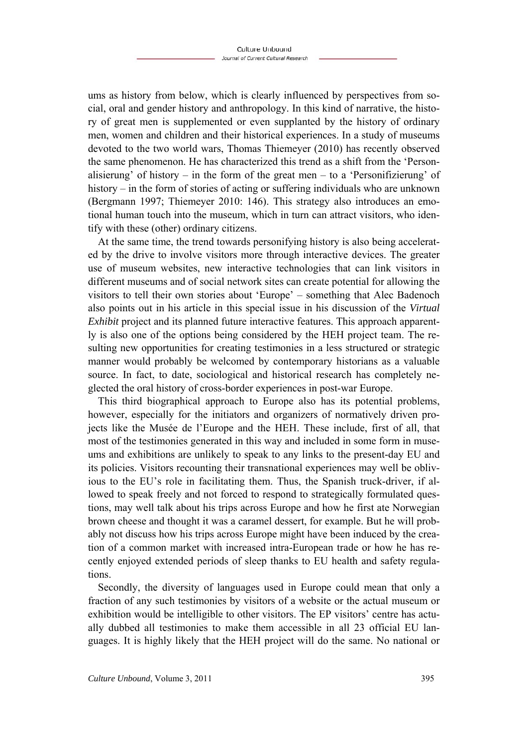ums as history from below, which is clearly influenced by perspectives from social, oral and gender history and anthropology. In this kind of narrative, the history of great men is supplemented or even supplanted by the history of ordinary men, women and children and their historical experiences. In a study of museums devoted to the two world wars, Thomas Thiemeyer (2010) has recently observed the same phenomenon. He has characterized this trend as a shift from the 'Personalisierung' of history – in the form of the great men – to a 'Personifizierung' of history – in the form of stories of acting or suffering individuals who are unknown (Bergmann 1997; Thiemeyer 2010: 146). This strategy also introduces an emotional human touch into the museum, which in turn can attract visitors, who identify with these (other) ordinary citizens.

At the same time, the trend towards personifying history is also being accelerated by the drive to involve visitors more through interactive devices. The greater use of museum websites, new interactive technologies that can link visitors in different museums and of social network sites can create potential for allowing the visitors to tell their own stories about 'Europe' – something that Alec Badenoch also points out in his article in this special issue in his discussion of the *Virtual Exhibit* project and its planned future interactive features. This approach apparently is also one of the options being considered by the HEH project team. The resulting new opportunities for creating testimonies in a less structured or strategic manner would probably be welcomed by contemporary historians as a valuable source. In fact, to date, sociological and historical research has completely neglected the oral history of cross-border experiences in post-war Europe.

This third biographical approach to Europe also has its potential problems, however, especially for the initiators and organizers of normatively driven projects like the Musée de l'Europe and the HEH. These include, first of all, that most of the testimonies generated in this way and included in some form in museums and exhibitions are unlikely to speak to any links to the present-day EU and its policies. Visitors recounting their transnational experiences may well be oblivious to the EU's role in facilitating them. Thus, the Spanish truck-driver, if allowed to speak freely and not forced to respond to strategically formulated questions, may well talk about his trips across Europe and how he first ate Norwegian brown cheese and thought it was a caramel dessert, for example. But he will probably not discuss how his trips across Europe might have been induced by the creation of a common market with increased intra-European trade or how he has recently enjoyed extended periods of sleep thanks to EU health and safety regulations.

Secondly, the diversity of languages used in Europe could mean that only a fraction of any such testimonies by visitors of a website or the actual museum or exhibition would be intelligible to other visitors. The EP visitors' centre has actually dubbed all testimonies to make them accessible in all 23 official EU languages. It is highly likely that the HEH project will do the same. No national or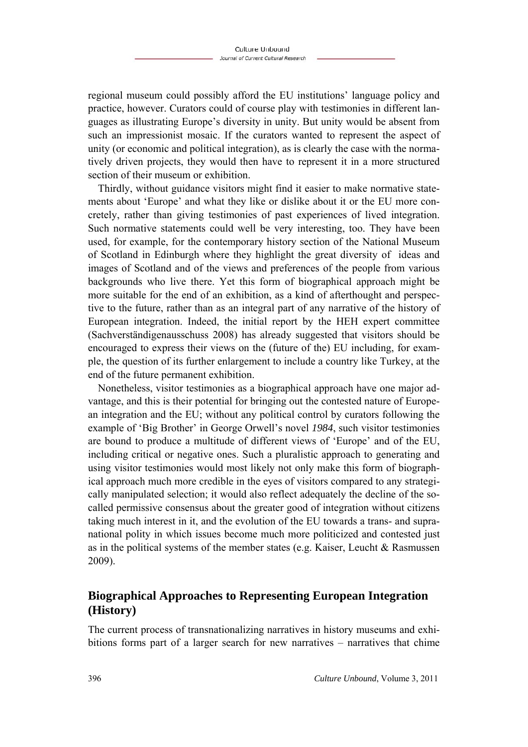regional museum could possibly afford the EU institutions' language policy and practice, however. Curators could of course play with testimonies in different languages as illustrating Europe's diversity in unity. But unity would be absent from such an impressionist mosaic. If the curators wanted to represent the aspect of unity (or economic and political integration), as is clearly the case with the normatively driven projects, they would then have to represent it in a more structured section of their museum or exhibition.

Thirdly, without guidance visitors might find it easier to make normative statements about 'Europe' and what they like or dislike about it or the EU more concretely, rather than giving testimonies of past experiences of lived integration. Such normative statements could well be very interesting, too. They have been used, for example, for the contemporary history section of the National Museum of Scotland in Edinburgh where they highlight the great diversity of ideas and images of Scotland and of the views and preferences of the people from various backgrounds who live there. Yet this form of biographical approach might be more suitable for the end of an exhibition, as a kind of afterthought and perspective to the future, rather than as an integral part of any narrative of the history of European integration. Indeed, the initial report by the HEH expert committee (Sachverständigenausschuss 2008) has already suggested that visitors should be encouraged to express their views on the (future of the) EU including, for example, the question of its further enlargement to include a country like Turkey, at the end of the future permanent exhibition.

Nonetheless, visitor testimonies as a biographical approach have one major advantage, and this is their potential for bringing out the contested nature of European integration and the EU; without any political control by curators following the example of 'Big Brother' in George Orwell's novel *1984*, such visitor testimonies are bound to produce a multitude of different views of 'Europe' and of the EU, including critical or negative ones. Such a pluralistic approach to generating and using visitor testimonies would most likely not only make this form of biographical approach much more credible in the eyes of visitors compared to any strategically manipulated selection; it would also reflect adequately the decline of the socalled permissive consensus about the greater good of integration without citizens taking much interest in it, and the evolution of the EU towards a trans- and supranational polity in which issues become much more politicized and contested just as in the political systems of the member states (e.g. Kaiser, Leucht & Rasmussen 2009).

## **Biographical Approaches to Representing European Integration (History)**

The current process of transnationalizing narratives in history museums and exhibitions forms part of a larger search for new narratives – narratives that chime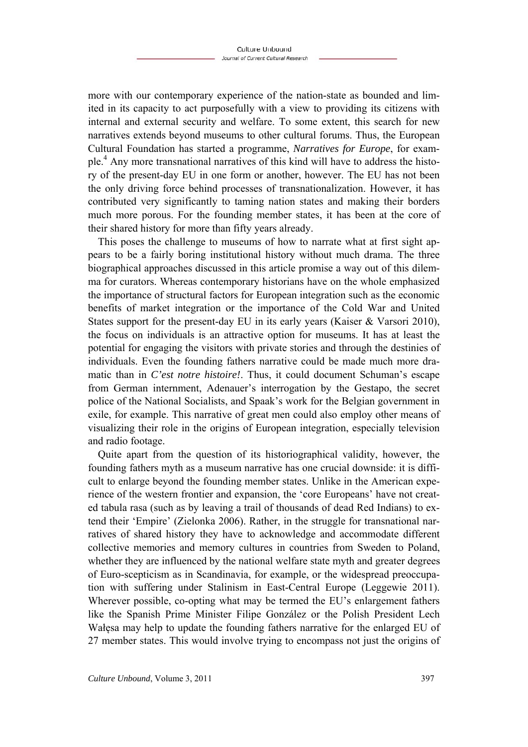more with our contemporary experience of the nation-state as bounded and limited in its capacity to act purposefully with a view to providing its citizens with internal and external security and welfare. To some extent, this search for new narratives extends beyond museums to other cultural forums. Thus, the European Cultural Foundation has started a programme, *Narratives for Europe*, for example.<sup>4</sup> Any more transnational narratives of this kind will have to address the history of the present-day EU in one form or another, however. The EU has not been the only driving force behind processes of transnationalization. However, it has contributed very significantly to taming nation states and making their borders much more porous. For the founding member states, it has been at the core of their shared history for more than fifty years already.

This poses the challenge to museums of how to narrate what at first sight appears to be a fairly boring institutional history without much drama. The three biographical approaches discussed in this article promise a way out of this dilemma for curators. Whereas contemporary historians have on the whole emphasized the importance of structural factors for European integration such as the economic benefits of market integration or the importance of the Cold War and United States support for the present-day EU in its early years (Kaiser & Varsori 2010), the focus on individuals is an attractive option for museums. It has at least the potential for engaging the visitors with private stories and through the destinies of individuals. Even the founding fathers narrative could be made much more dramatic than in *C'est notre histoire!*. Thus, it could document Schuman's escape from German internment, Adenauer's interrogation by the Gestapo, the secret police of the National Socialists, and Spaak's work for the Belgian government in exile, for example. This narrative of great men could also employ other means of visualizing their role in the origins of European integration, especially television and radio footage.

Quite apart from the question of its historiographical validity, however, the founding fathers myth as a museum narrative has one crucial downside: it is difficult to enlarge beyond the founding member states. Unlike in the American experience of the western frontier and expansion, the 'core Europeans' have not created tabula rasa (such as by leaving a trail of thousands of dead Red Indians) to extend their 'Empire' (Zielonka 2006). Rather, in the struggle for transnational narratives of shared history they have to acknowledge and accommodate different collective memories and memory cultures in countries from Sweden to Poland, whether they are influenced by the national welfare state myth and greater degrees of Euro-scepticism as in Scandinavia, for example, or the widespread preoccupation with suffering under Stalinism in East-Central Europe (Leggewie 2011). Wherever possible, co-opting what may be termed the EU's enlargement fathers like the Spanish Prime Minister Filipe González or the Polish President Lech Wałęsa may help to update the founding fathers narrative for the enlarged EU of 27 member states. This would involve trying to encompass not just the origins of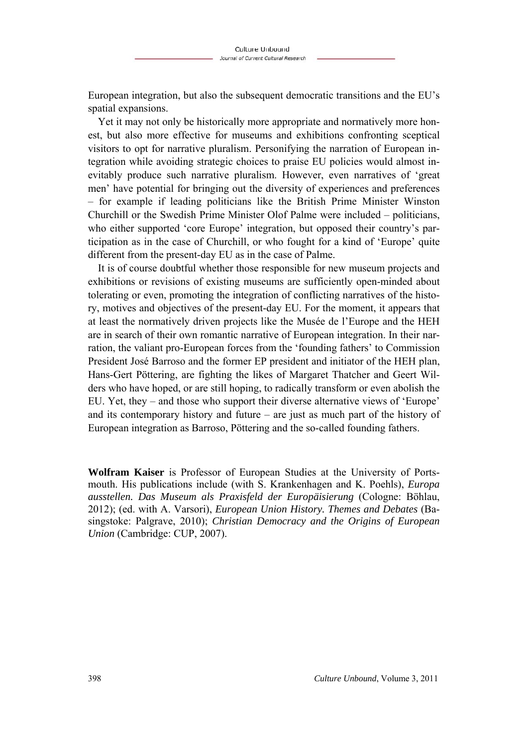European integration, but also the subsequent democratic transitions and the EU's spatial expansions.

Yet it may not only be historically more appropriate and normatively more honest, but also more effective for museums and exhibitions confronting sceptical visitors to opt for narrative pluralism. Personifying the narration of European integration while avoiding strategic choices to praise EU policies would almost inevitably produce such narrative pluralism. However, even narratives of 'great men' have potential for bringing out the diversity of experiences and preferences – for example if leading politicians like the British Prime Minister Winston Churchill or the Swedish Prime Minister Olof Palme were included – politicians, who either supported 'core Europe' integration, but opposed their country's participation as in the case of Churchill, or who fought for a kind of 'Europe' quite different from the present-day EU as in the case of Palme.

It is of course doubtful whether those responsible for new museum projects and exhibitions or revisions of existing museums are sufficiently open-minded about tolerating or even, promoting the integration of conflicting narratives of the history, motives and objectives of the present-day EU. For the moment, it appears that at least the normatively driven projects like the Musée de l'Europe and the HEH are in search of their own romantic narrative of European integration. In their narration, the valiant pro-European forces from the 'founding fathers' to Commission President José Barroso and the former EP president and initiator of the HEH plan, Hans-Gert Pöttering, are fighting the likes of Margaret Thatcher and Geert Wilders who have hoped, or are still hoping, to radically transform or even abolish the EU. Yet, they – and those who support their diverse alternative views of 'Europe' and its contemporary history and future – are just as much part of the history of European integration as Barroso, Pöttering and the so-called founding fathers.

**Wolfram Kaiser** is Professor of European Studies at the University of Portsmouth. His publications include (with S. Krankenhagen and K. Poehls), *Europa ausstellen. Das Museum als Praxisfeld der Europäisierung* (Cologne: Böhlau, 2012); (ed. with A. Varsori), *European Union History. Themes and Debates* (Basingstoke: Palgrave, 2010); *Christian Democracy and the Origins of European Union* (Cambridge: CUP, 2007).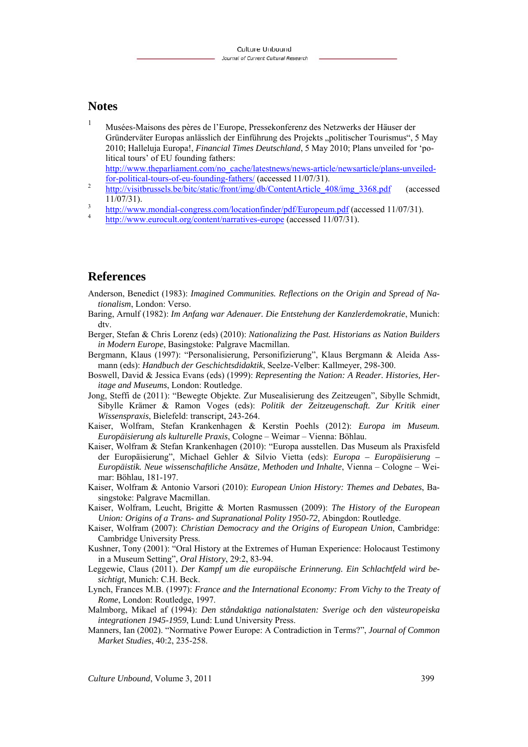#### **Notes**

- 1 Musées-Maisons des pères de l'Europe, Pressekonferenz des Netzwerks der Häuser der Gründerväter Europas anlässlich der Einführung des Projekts "politischer Tourismus", 5 May 2010; Halleluja Europa!, *Financial Times Deutschland*, 5 May 2010; Plans unveiled for 'political tours' of EU founding fathers:
- http://www.theparliament.com/no\_cache/latestnews/news-article/newsarticle/plans-unveiledfor-political-tours-of-eu-founding-fathers/ (accessed 11/07/31). 2 http://visitbrussels.be/bitc/static/front/img/db/ContentArticle\_408/img\_3368.pdf (accessed
- $11/07/31$ ).
- $\frac{3}{4}$  http://www.mondial-congress.com/locationfinder/pdf/Europeum.pdf (accessed 11/07/31).
- http://www.eurocult.org/content/narratives-europe (accessed 11/07/31).

### **References**

- Anderson, Benedict (1983): *Imagined Communities. Reflections on the Origin and Spread of Nationalism*, London: Verso.
- Baring, Arnulf (1982): *Im Anfang war Adenauer. Die Entstehung der Kanzlerdemokratie*, Munich: dtv.
- Berger, Stefan & Chris Lorenz (eds) (2010): *Nationalizing the Past. Historians as Nation Builders in Modern Europe*, Basingstoke: Palgrave Macmillan.
- Bergmann, Klaus (1997): "Personalisierung, Personifizierung", Klaus Bergmann & Aleida Assmann (eds): *Handbuch der Geschichtsdidaktik*, Seelze-Velber: Kallmeyer, 298-300.
- Boswell, David & Jessica Evans (eds) (1999): *Representing the Nation: A Reader. Histories, Heritage and Museums*, London: Routledge.
- Jong, Steffi de (2011): "Bewegte Objekte. Zur Musealisierung des Zeitzeugen", Sibylle Schmidt, Sibylle Krämer & Ramon Voges (eds): *Politik der Zeitzeugenschaft. Zur Kritik einer Wissenspraxis*, Bielefeld: transcript, 243-264.
- Kaiser, Wolfram, Stefan Krankenhagen & Kerstin Poehls (2012): *Europa im Museum. Europäisierung als kulturelle Praxis*, Cologne – Weimar – Vienna: Böhlau.
- Kaiser, Wolfram & Stefan Krankenhagen (2010): "Europa ausstellen. Das Museum als Praxisfeld der Europäisierung", Michael Gehler & Silvio Vietta (eds): *Europa – Europäisierung – Europäistik. Neue wissenschaftliche Ansätze, Methoden und Inhalte*, Vienna – Cologne – Weimar: Böhlau, 181-197.
- Kaiser, Wolfram & Antonio Varsori (2010): *European Union History: Themes and Debates*, Basingstoke: Palgrave Macmillan.
- Kaiser, Wolfram, Leucht, Brigitte & Morten Rasmussen (2009): *The History of the European Union: Origins of a Trans- and Supranational Polity 1950-72*, Abingdon: Routledge.
- Kaiser, Wolfram (2007): *Christian Democracy and the Origins of European Union*, Cambridge: Cambridge University Press.
- Kushner, Tony (2001): "Oral History at the Extremes of Human Experience: Holocaust Testimony in a Museum Setting", *Oral History*, 29:2, 83-94.
- Leggewie, Claus (2011). *Der Kampf um die europäische Erinnerung. Ein Schlachtfeld wird besichtigt*, Munich: C.H. Beck.
- Lynch, Frances M.B. (1997): *France and the International Economy: From Vichy to the Treaty of Rome*, London: Routledge, 1997.
- Malmborg, Mikael af (1994): *Den ståndaktiga nationalstaten: Sverige och den västeuropeiska integrationen 1945-1959*, Lund: Lund University Press.
- Manners, Ian (2002). "Normative Power Europe: A Contradiction in Terms?", *Journal of Common Market Studies*, 40:2, 235-258.